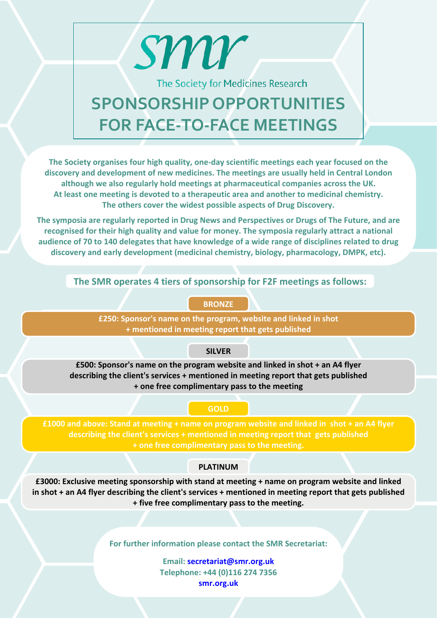The Society for Medicines Research

# **SPONSORSHIP OPPORTUNITIES FOR FACE-TO-FACE MEETINGS**

sm

**The Society organises four high quality, one-day scientific meetings each year focused on the discovery and development of new medicines. The meetings are usually held in Central London although we also regularly hold meetings at pharmaceutical companies across the UK. At least one meeting is devoted to a therapeutic area and another to medicinal chemistry. The others cover the widest possible aspects of Drug Discovery.**

**The symposia are regularly reported in Drug News and Perspectives or Drugs of The Future, and are recognised for their high quality and value for money. The symposia regularly attract a national audience of 70 to 140 delegates that have knowledge of a wide range of disciplines related to drug discovery and early development (medicinal chemistry, biology, pharmacology, DMPK, etc).**

**The SMR operates 4 tiers of sponsorship for F2F meetings as follows:**

### **BRONZE**

**£250: Sponsor's name on the program, website and linked in shot + mentioned in meeting report that gets published**

# **SILVER**

**£500: Sponsor's name on the program website and linked in shot + an A4 flyer describing the client's services + mentioned in meeting report that gets published + one free complimentary pass to the meeting**

#### **GOLD**

**£1000 and above: Stand at meeting + name on program website and linked in shot + an A4 flyer describing the client's services + mentioned in meeting report that gets published + one free complimentary pass to the meeting.**

# **PLATINUM**

**£3000: Exclusive meeting sponsorship with stand at meeting + name on program website and linked in shot + an A4 flyer describing the client's services + mentioned in meeting report that gets published + five free complimentary pass to the meeting.**

**For further information please contact the SMR Secretariat:**

**Email: [secretariat@smr.org.uk](mailto:secretariat@smr.org.uk) Telephone: +44 (0)116 274 7356 <smr.org.uk>**